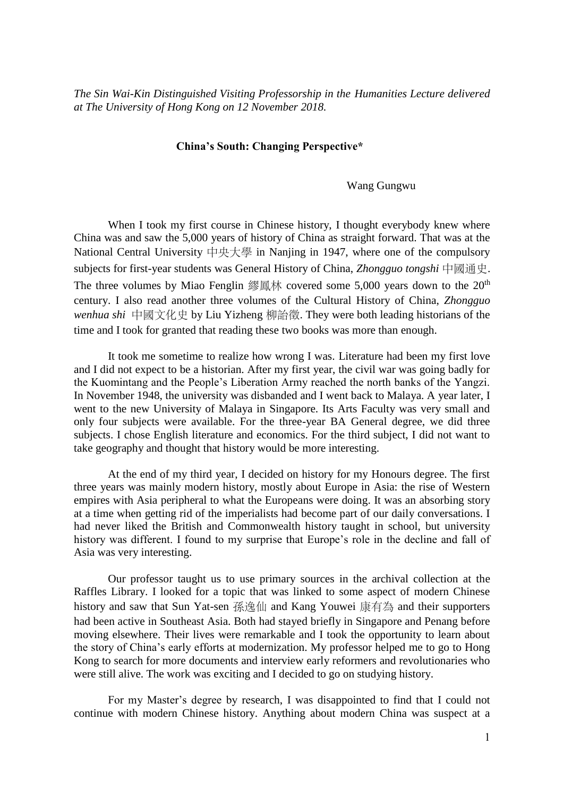*The Sin Wai-Kin Distinguished Visiting Professorship in the Humanities Lecture delivered at The University of Hong Kong on 12 November 2018.*

## **China's South: Changing Perspective\***

# Wang Gungwu

When I took my first course in Chinese history, I thought everybody knew where China was and saw the 5,000 years of history of China as straight forward. That was at the National Central University 中央大學 in Nanjing in 1947, where one of the compulsory subjects for first-year students was General History of China, *Zhongguo tongshi* 中國通史. The three volumes by Miao Fenglin 繆鳳林 covered some 5,000 years down to the  $20<sup>th</sup>$ century. I also read another three volumes of the Cultural History of China, *Zhongguo wenhua shi* 中國文化史 by Liu Yizheng 柳詒徵. They were both leading historians of the time and I took for granted that reading these two books was more than enough.

It took me sometime to realize how wrong I was. Literature had been my first love and I did not expect to be a historian. After my first year, the civil war was going badly for the Kuomintang and the People's Liberation Army reached the north banks of the Yangzi. In November 1948, the university was disbanded and I went back to Malaya. A year later, I went to the new University of Malaya in Singapore. Its Arts Faculty was very small and only four subjects were available. For the three-year BA General degree, we did three subjects. I chose English literature and economics. For the third subject, I did not want to take geography and thought that history would be more interesting.

At the end of my third year, I decided on history for my Honours degree. The first three years was mainly modern history, mostly about Europe in Asia: the rise of Western empires with Asia peripheral to what the Europeans were doing. It was an absorbing story at a time when getting rid of the imperialists had become part of our daily conversations. I had never liked the British and Commonwealth history taught in school, but university history was different. I found to my surprise that Europe's role in the decline and fall of Asia was very interesting.

Our professor taught us to use primary sources in the archival collection at the Raffles Library. I looked for a topic that was linked to some aspect of modern Chinese history and saw that Sun Yat-sen 孫逸仙 and Kang Youwei 康有為 and their supporters had been active in Southeast Asia. Both had stayed briefly in Singapore and Penang before moving elsewhere. Their lives were remarkable and I took the opportunity to learn about the story of China's early efforts at modernization. My professor helped me to go to Hong Kong to search for more documents and interview early reformers and revolutionaries who were still alive. The work was exciting and I decided to go on studying history.

For my Master's degree by research, I was disappointed to find that I could not continue with modern Chinese history. Anything about modern China was suspect at a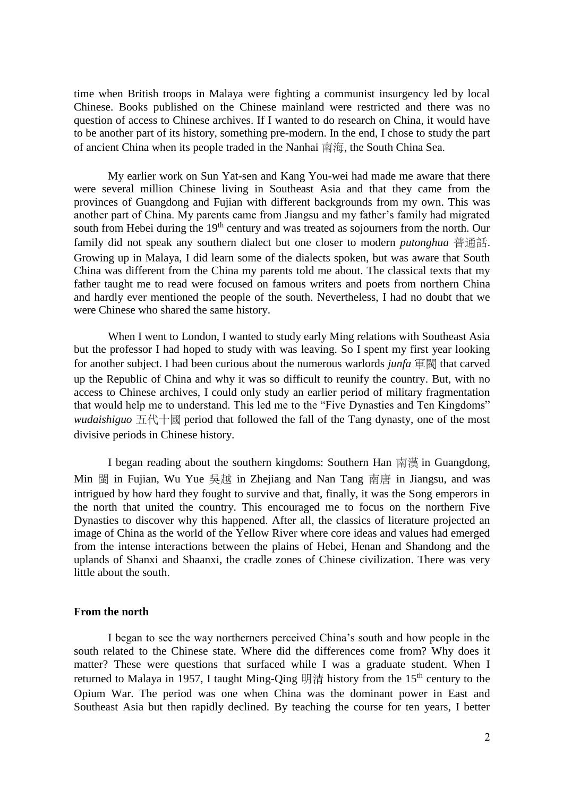time when British troops in Malaya were fighting a communist insurgency led by local Chinese. Books published on the Chinese mainland were restricted and there was no question of access to Chinese archives. If I wanted to do research on China, it would have to be another part of its history, something pre-modern. In the end, I chose to study the part of ancient China when its people traded in the Nanhai 南海, the South China Sea.

My earlier work on Sun Yat-sen and Kang You-wei had made me aware that there were several million Chinese living in Southeast Asia and that they came from the provinces of Guangdong and Fujian with different backgrounds from my own. This was another part of China. My parents came from Jiangsu and my father's family had migrated south from Hebei during the  $19<sup>th</sup>$  century and was treated as sojourners from the north. Our family did not speak any southern dialect but one closer to modern *putonghua* 普通話. Growing up in Malaya, I did learn some of the dialects spoken, but was aware that South China was different from the China my parents told me about. The classical texts that my father taught me to read were focused on famous writers and poets from northern China and hardly ever mentioned the people of the south. Nevertheless, I had no doubt that we were Chinese who shared the same history.

When I went to London, I wanted to study early Ming relations with Southeast Asia but the professor I had hoped to study with was leaving. So I spent my first year looking for another subject. I had been curious about the numerous warlords *junfa* 軍閥 that carved up the Republic of China and why it was so difficult to reunify the country. But, with no access to Chinese archives, I could only study an earlier period of military fragmentation that would help me to understand. This led me to the "Five Dynasties and Ten Kingdoms" *wudaishiguo* 五代十國 period that followed the fall of the Tang dynasty, one of the most divisive periods in Chinese history.

I began reading about the southern kingdoms: Southern Han 南漢 in Guangdong, Min 閩 in Fujian, Wu Yue 吳越 in Zhejiang and Nan Tang 南唐 in Jiangsu, and was intrigued by how hard they fought to survive and that, finally, it was the Song emperors in the north that united the country. This encouraged me to focus on the northern Five Dynasties to discover why this happened. After all, the classics of literature projected an image of China as the world of the Yellow River where core ideas and values had emerged from the intense interactions between the plains of Hebei, Henan and Shandong and the uplands of Shanxi and Shaanxi, the cradle zones of Chinese civilization. There was very little about the south.

## **From the north**

I began to see the way northerners perceived China's south and how people in the south related to the Chinese state. Where did the differences come from? Why does it matter? These were questions that surfaced while I was a graduate student. When I returned to Malaya in 1957, I taught Ming-Qing 明清 history from the 15<sup>th</sup> century to the Opium War. The period was one when China was the dominant power in East and Southeast Asia but then rapidly declined. By teaching the course for ten years, I better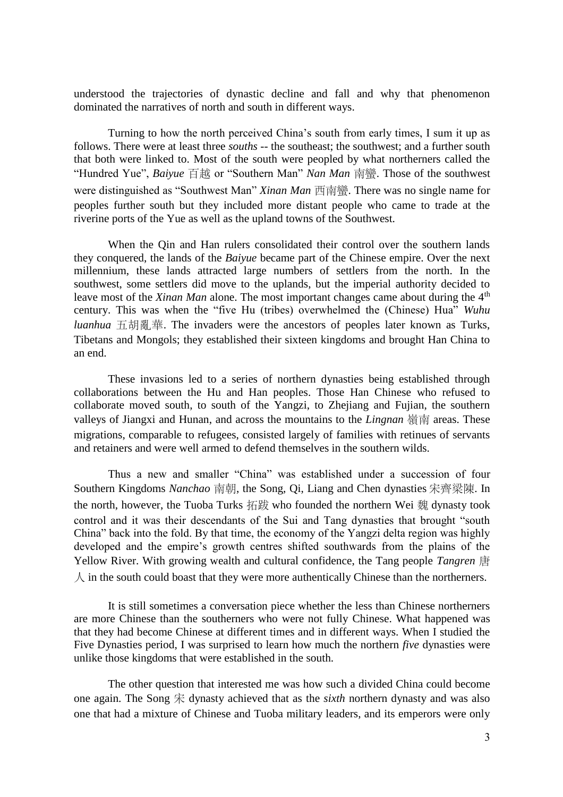understood the trajectories of dynastic decline and fall and why that phenomenon dominated the narratives of north and south in different ways.

Turning to how the north perceived China's south from early times, I sum it up as follows. There were at least three *souths* -- the southeast; the southwest; and a further south that both were linked to. Most of the south were peopled by what northerners called the "Hundred Yue", *Baiyue* 百越 or "Southern Man" *Nan Man* 南蠻. Those of the southwest were distinguished as "Southwest Man" *Xinan Man* 西南蠻. There was no single name for peoples further south but they included more distant people who came to trade at the riverine ports of the Yue as well as the upland towns of the Southwest.

When the Qin and Han rulers consolidated their control over the southern lands they conquered, the lands of the *Baiyue* became part of the Chinese empire. Over the next millennium, these lands attracted large numbers of settlers from the north. In the southwest, some settlers did move to the uplands, but the imperial authority decided to leave most of the *Xinan Man* alone. The most important changes came about during the 4<sup>th</sup> century. This was when the "five Hu (tribes) overwhelmed the (Chinese) Hua" *Wuhu luanhua* 五胡亂華. The invaders were the ancestors of peoples later known as Turks, Tibetans and Mongols; they established their sixteen kingdoms and brought Han China to an end.

These invasions led to a series of northern dynasties being established through collaborations between the Hu and Han peoples. Those Han Chinese who refused to collaborate moved south, to south of the Yangzi, to Zhejiang and Fujian, the southern valleys of Jiangxi and Hunan, and across the mountains to the *Lingnan* 嶺南 areas. These migrations, comparable to refugees, consisted largely of families with retinues of servants and retainers and were well armed to defend themselves in the southern wilds.

Thus a new and smaller "China" was established under a succession of four Southern Kingdoms *Nanchao* 南朝, the Song, Qi, Liang and Chen dynasties 宋齊梁陳. In the north, however, the Tuoba Turks 拓跋 who founded the northern Wei 魏 dynasty took control and it was their descendants of the Sui and Tang dynasties that brought "south China" back into the fold. By that time, the economy of the Yangzi delta region was highly developed and the empire's growth centres shifted southwards from the plains of the Yellow River. With growing wealth and cultural confidence, the Tang people *Tangren* 唐  $\lambda$  in the south could boast that they were more authentically Chinese than the northerners.

It is still sometimes a conversation piece whether the less than Chinese northerners are more Chinese than the southerners who were not fully Chinese. What happened was that they had become Chinese at different times and in different ways. When I studied the Five Dynasties period, I was surprised to learn how much the northern *five* dynasties were unlike those kingdoms that were established in the south.

The other question that interested me was how such a divided China could become one again. The Song 宋 dynasty achieved that as the *sixth* northern dynasty and was also one that had a mixture of Chinese and Tuoba military leaders, and its emperors were only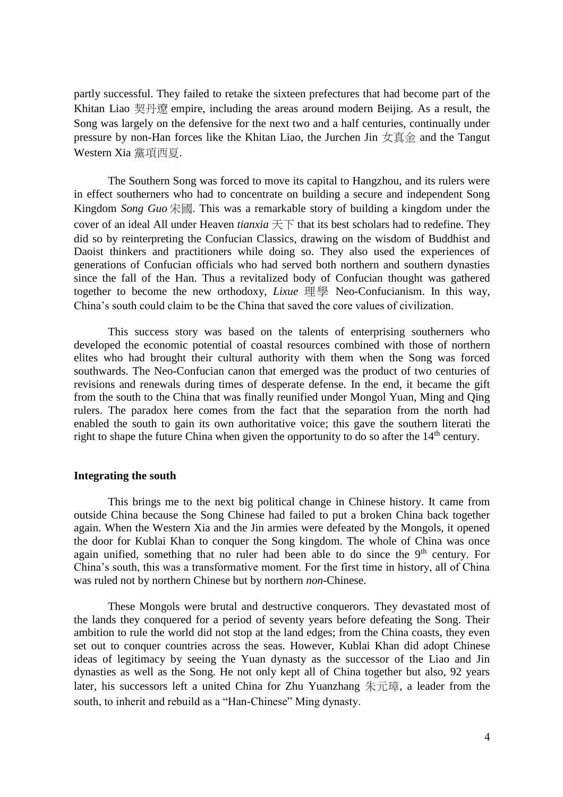partly successful. They failed to retake the sixteen prefectures that had become part of the Khitan Liao 製丹遼 empire, including the areas around modern Beijing. As a result, the Song was largely on the defensive for the next two and a half centuries, continually under pressure by non-Han forces like the Khitan Liao, the Jurchen Jin 女真金 and the Tangut Western Xia 黨項西夏.

The Southern Song was forced to move its capital to Hangzhou, and its rulers were in effect southerners who had to concentrate on building a secure and independent Song Kingdom *Song Guo* 宋國. This was a remarkable story of building a kingdom under the cover of an ideal All under Heaven *tianxia* 天下 that its best scholars had to redefine. They did so by reinterpreting the Confucian Classics, drawing on the wisdom of Buddhist and Daoist thinkers and practitioners while doing so. They also used the experiences of generations of Confucian officials who had served both northern and southern dynasties since the fall of the Han. Thus a revitalized body of Confucian thought was gathered together to become the new orthodoxy, *Lixue* 理學 Neo-Confucianism. In this way, China's south could claim to be the China that saved the core values of civilization.

This success story was based on the talents of enterprising southerners who developed the economic potential of coastal resources combined with those of northern elites who had brought their cultural authority with them when the Song was forced southwards. The Neo-Confucian canon that emerged was the product of two centuries of revisions and renewals during times of desperate defense. In the end, it became the gift from the south to the China that was finally reunified under Mongol Yuan, Ming and Qing rulers. The paradox here comes from the fact that the separation from the north had enabled the south to gain its own authoritative voice; this gave the southern literati the right to shape the future China when given the opportunity to do so after the  $14<sup>th</sup>$  century.

#### **Integrating the south**

This brings me to the next big political change in Chinese history. It came from outside China because the Song Chinese had failed to put a broken China back together again. When the Western Xia and the Jin armies were defeated by the Mongols, it opened the door for Kublai Khan to conquer the Song kingdom. The whole of China was once again unified, something that no ruler had been able to do since the  $9<sup>th</sup>$  century. For China's south, this was a transformative moment. For the first time in history, all of China was ruled not by northern Chinese but by northern *non*-Chinese.

These Mongols were brutal and destructive conquerors. They devastated most of the lands they conquered for a period of seventy years before defeating the Song. Their ambition to rule the world did not stop at the land edges; from the China coasts, they even set out to conquer countries across the seas. However, Kublai Khan did adopt Chinese ideas of legitimacy by seeing the Yuan dynasty as the successor of the Liao and Jin dynasties as well as the Song. He not only kept all of China together but also, 92 years later, his successors left a united China for Zhu Yuanzhang 朱元璋, a leader from the south, to inherit and rebuild as a "Han-Chinese" Ming dynasty.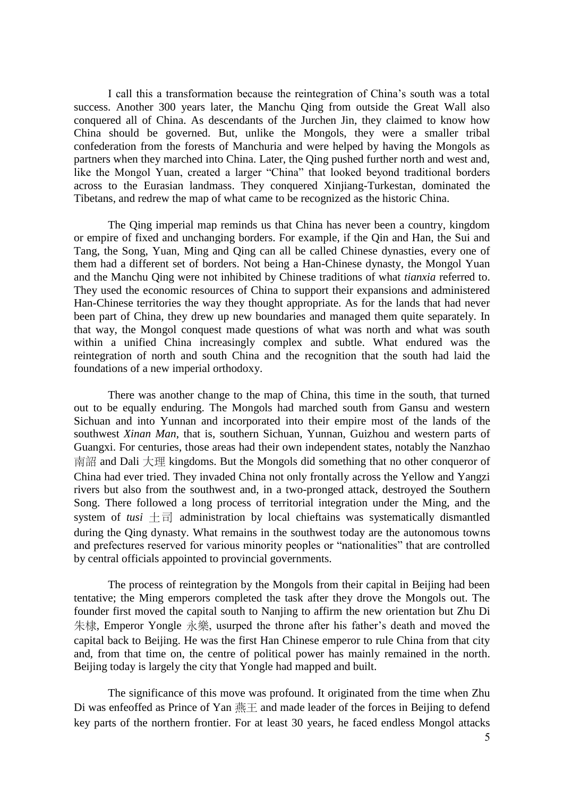I call this a transformation because the reintegration of China's south was a total success. Another 300 years later, the Manchu Qing from outside the Great Wall also conquered all of China. As descendants of the Jurchen Jin, they claimed to know how China should be governed. But, unlike the Mongols, they were a smaller tribal confederation from the forests of Manchuria and were helped by having the Mongols as partners when they marched into China. Later, the Qing pushed further north and west and, like the Mongol Yuan, created a larger "China" that looked beyond traditional borders across to the Eurasian landmass. They conquered Xinjiang-Turkestan, dominated the Tibetans, and redrew the map of what came to be recognized as the historic China.

The Qing imperial map reminds us that China has never been a country, kingdom or empire of fixed and unchanging borders. For example, if the Qin and Han, the Sui and Tang, the Song, Yuan, Ming and Qing can all be called Chinese dynasties, every one of them had a different set of borders. Not being a Han-Chinese dynasty, the Mongol Yuan and the Manchu Qing were not inhibited by Chinese traditions of what *tianxia* referred to. They used the economic resources of China to support their expansions and administered Han-Chinese territories the way they thought appropriate. As for the lands that had never been part of China, they drew up new boundaries and managed them quite separately. In that way, the Mongol conquest made questions of what was north and what was south within a unified China increasingly complex and subtle. What endured was the reintegration of north and south China and the recognition that the south had laid the foundations of a new imperial orthodoxy.

There was another change to the map of China, this time in the south, that turned out to be equally enduring. The Mongols had marched south from Gansu and western Sichuan and into Yunnan and incorporated into their empire most of the lands of the southwest *Xinan Man*, that is, southern Sichuan, Yunnan, Guizhou and western parts of Guangxi. For centuries, those areas had their own independent states, notably the Nanzhao 南詔 and Dali 大理 kingdoms. But the Mongols did something that no other conqueror of China had ever tried. They invaded China not only frontally across the Yellow and Yangzi rivers but also from the southwest and, in a two-pronged attack, destroyed the Southern Song. There followed a long process of territorial integration under the Ming, and the system of *tusi*  $+\overline{a}$  administration by local chieftains was systematically dismantled during the Qing dynasty. What remains in the southwest today are the autonomous towns and prefectures reserved for various minority peoples or "nationalities" that are controlled by central officials appointed to provincial governments.

The process of reintegration by the Mongols from their capital in Beijing had been tentative; the Ming emperors completed the task after they drove the Mongols out. The founder first moved the capital south to Nanjing to affirm the new orientation but Zhu Di 朱棣, Emperor Yongle 永樂, usurped the throne after his father's death and moved the capital back to Beijing. He was the first Han Chinese emperor to rule China from that city and, from that time on, the centre of political power has mainly remained in the north. Beijing today is largely the city that Yongle had mapped and built.

The significance of this move was profound. It originated from the time when Zhu Di was enfeoffed as Prince of Yan  $\frac{1}{100}$  and made leader of the forces in Beijing to defend key parts of the northern frontier. For at least 30 years, he faced endless Mongol attacks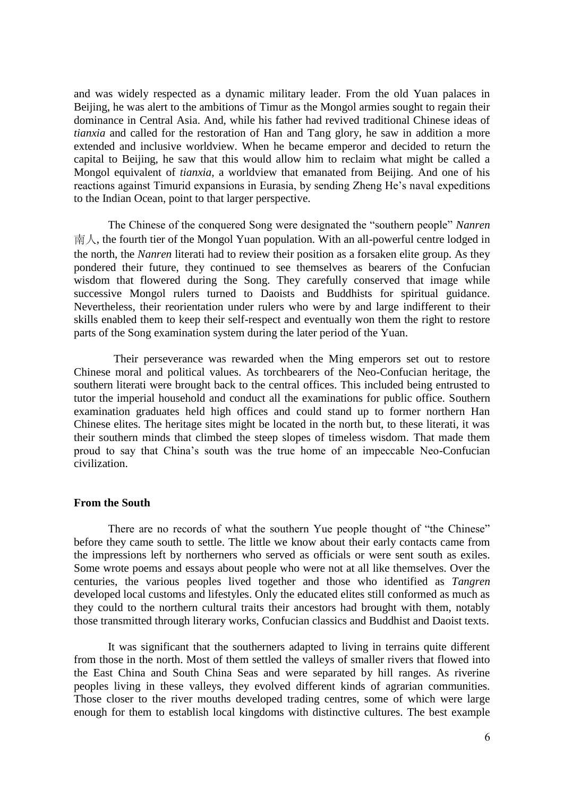and was widely respected as a dynamic military leader. From the old Yuan palaces in Beijing, he was alert to the ambitions of Timur as the Mongol armies sought to regain their dominance in Central Asia. And, while his father had revived traditional Chinese ideas of *tianxia* and called for the restoration of Han and Tang glory, he saw in addition a more extended and inclusive worldview. When he became emperor and decided to return the capital to Beijing, he saw that this would allow him to reclaim what might be called a Mongol equivalent of *tianxia*, a worldview that emanated from Beijing. And one of his reactions against Timurid expansions in Eurasia, by sending Zheng He's naval expeditions to the Indian Ocean, point to that larger perspective.

The Chinese of the conquered Song were designated the "southern people" *Nanren*  $\overline{m}$   $\overline{\mathcal{A}}$ , the fourth tier of the Mongol Yuan population. With an all-powerful centre lodged in the north, the *Nanren* literati had to review their position as a forsaken elite group. As they pondered their future, they continued to see themselves as bearers of the Confucian wisdom that flowered during the Song. They carefully conserved that image while successive Mongol rulers turned to Daoists and Buddhists for spiritual guidance. Nevertheless, their reorientation under rulers who were by and large indifferent to their skills enabled them to keep their self-respect and eventually won them the right to restore parts of the Song examination system during the later period of the Yuan.

 Their perseverance was rewarded when the Ming emperors set out to restore Chinese moral and political values. As torchbearers of the Neo-Confucian heritage, the southern literati were brought back to the central offices. This included being entrusted to tutor the imperial household and conduct all the examinations for public office. Southern examination graduates held high offices and could stand up to former northern Han Chinese elites. The heritage sites might be located in the north but, to these literati, it was their southern minds that climbed the steep slopes of timeless wisdom. That made them proud to say that China's south was the true home of an impeccable Neo-Confucian civilization.

## **From the South**

There are no records of what the southern Yue people thought of "the Chinese" before they came south to settle. The little we know about their early contacts came from the impressions left by northerners who served as officials or were sent south as exiles. Some wrote poems and essays about people who were not at all like themselves. Over the centuries, the various peoples lived together and those who identified as *Tangren* developed local customs and lifestyles. Only the educated elites still conformed as much as they could to the northern cultural traits their ancestors had brought with them, notably those transmitted through literary works, Confucian classics and Buddhist and Daoist texts.

It was significant that the southerners adapted to living in terrains quite different from those in the north. Most of them settled the valleys of smaller rivers that flowed into the East China and South China Seas and were separated by hill ranges. As riverine peoples living in these valleys, they evolved different kinds of agrarian communities. Those closer to the river mouths developed trading centres, some of which were large enough for them to establish local kingdoms with distinctive cultures. The best example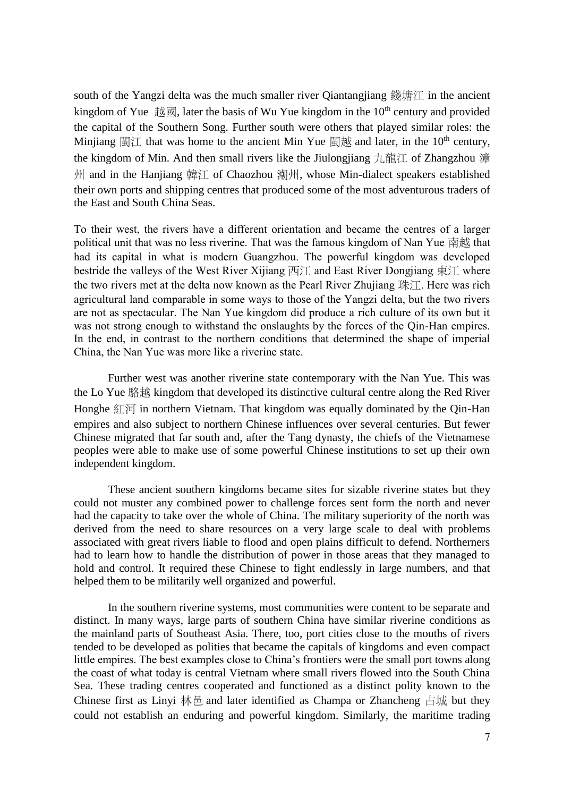south of the Yangzi delta was the much smaller river Qiantangjiang 錢塘江 in the ancient kingdom of Yue  $\dot{\text{t}}(\mathbb{R})$ , later the basis of Wu Yue kingdom in the 10<sup>th</sup> century and provided the capital of the Southern Song. Further south were others that played similar roles: the Minjiang 閩江 that was home to the ancient Min Yue 閩越 and later, in the 10<sup>th</sup> century, the kingdom of Min. And then small rivers like the Jiulongjiang 九龍江 of Zhangzhou 漳 州 and in the Hanjiang 韓江 of Chaozhou 潮州, whose Min-dialect speakers established their own ports and shipping centres that produced some of the most adventurous traders of the East and South China Seas.

To their west, the rivers have a different orientation and became the centres of a larger political unit that was no less riverine. That was the famous kingdom of Nan Yue 南越 that had its capital in what is modern Guangzhou. The powerful kingdom was developed bestride the valleys of the West River Xijiang 西江 and East River Dongjiang 東江 where the two rivers met at the delta now known as the Pearl River Zhujiang 珠江. Here was rich agricultural land comparable in some ways to those of the Yangzi delta, but the two rivers are not as spectacular. The Nan Yue kingdom did produce a rich culture of its own but it was not strong enough to withstand the onslaughts by the forces of the Qin-Han empires. In the end, in contrast to the northern conditions that determined the shape of imperial China, the Nan Yue was more like a riverine state.

Further west was another riverine state contemporary with the Nan Yue. This was the Lo Yue 駱越 kingdom that developed its distinctive cultural centre along the Red River Honghe  $\mathbb{X}[\overline{\mathfrak{m}}]$  in northern Vietnam. That kingdom was equally dominated by the Qin-Han empires and also subject to northern Chinese influences over several centuries. But fewer Chinese migrated that far south and, after the Tang dynasty, the chiefs of the Vietnamese peoples were able to make use of some powerful Chinese institutions to set up their own independent kingdom.

These ancient southern kingdoms became sites for sizable riverine states but they could not muster any combined power to challenge forces sent form the north and never had the capacity to take over the whole of China. The military superiority of the north was derived from the need to share resources on a very large scale to deal with problems associated with great rivers liable to flood and open plains difficult to defend. Northerners had to learn how to handle the distribution of power in those areas that they managed to hold and control. It required these Chinese to fight endlessly in large numbers, and that helped them to be militarily well organized and powerful.

In the southern riverine systems, most communities were content to be separate and distinct. In many ways, large parts of southern China have similar riverine conditions as the mainland parts of Southeast Asia. There, too, port cities close to the mouths of rivers tended to be developed as polities that became the capitals of kingdoms and even compact little empires. The best examples close to China's frontiers were the small port towns along the coast of what today is central Vietnam where small rivers flowed into the South China Sea. These trading centres cooperated and functioned as a distinct polity known to the Chinese first as Linyi 林邑 and later identified as Champa or Zhancheng 占城 but they could not establish an enduring and powerful kingdom. Similarly, the maritime trading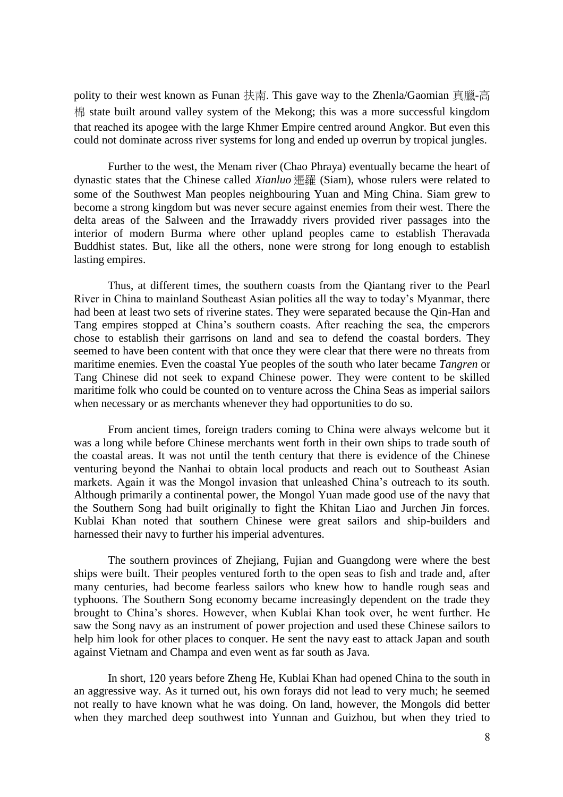polity to their west known as Funan 扶南. This gave way to the Zhenla/Gaomian 真臘-高 棉 state built around valley system of the Mekong; this was a more successful kingdom that reached its apogee with the large Khmer Empire centred around Angkor. But even this could not dominate across river systems for long and ended up overrun by tropical jungles.

Further to the west, the Menam river (Chao Phraya) eventually became the heart of dynastic states that the Chinese called *Xianluo* 暹羅 (Siam), whose rulers were related to some of the Southwest Man peoples neighbouring Yuan and Ming China. Siam grew to become a strong kingdom but was never secure against enemies from their west. There the delta areas of the Salween and the Irrawaddy rivers provided river passages into the interior of modern Burma where other upland peoples came to establish Theravada Buddhist states. But, like all the others, none were strong for long enough to establish lasting empires.

 Thus, at different times, the southern coasts from the Qiantang river to the Pearl River in China to mainland Southeast Asian polities all the way to today's Myanmar, there had been at least two sets of riverine states. They were separated because the Qin-Han and Tang empires stopped at China's southern coasts. After reaching the sea, the emperors chose to establish their garrisons on land and sea to defend the coastal borders. They seemed to have been content with that once they were clear that there were no threats from maritime enemies. Even the coastal Yue peoples of the south who later became *Tangren* or Tang Chinese did not seek to expand Chinese power. They were content to be skilled maritime folk who could be counted on to venture across the China Seas as imperial sailors when necessary or as merchants whenever they had opportunities to do so.

From ancient times, foreign traders coming to China were always welcome but it was a long while before Chinese merchants went forth in their own ships to trade south of the coastal areas. It was not until the tenth century that there is evidence of the Chinese venturing beyond the Nanhai to obtain local products and reach out to Southeast Asian markets. Again it was the Mongol invasion that unleashed China's outreach to its south. Although primarily a continental power, the Mongol Yuan made good use of the navy that the Southern Song had built originally to fight the Khitan Liao and Jurchen Jin forces. Kublai Khan noted that southern Chinese were great sailors and ship-builders and harnessed their navy to further his imperial adventures.

The southern provinces of Zhejiang, Fujian and Guangdong were where the best ships were built. Their peoples ventured forth to the open seas to fish and trade and, after many centuries, had become fearless sailors who knew how to handle rough seas and typhoons. The Southern Song economy became increasingly dependent on the trade they brought to China's shores. However, when Kublai Khan took over, he went further. He saw the Song navy as an instrument of power projection and used these Chinese sailors to help him look for other places to conquer. He sent the navy east to attack Japan and south against Vietnam and Champa and even went as far south as Java.

In short, 120 years before Zheng He, Kublai Khan had opened China to the south in an aggressive way. As it turned out, his own forays did not lead to very much; he seemed not really to have known what he was doing. On land, however, the Mongols did better when they marched deep southwest into Yunnan and Guizhou, but when they tried to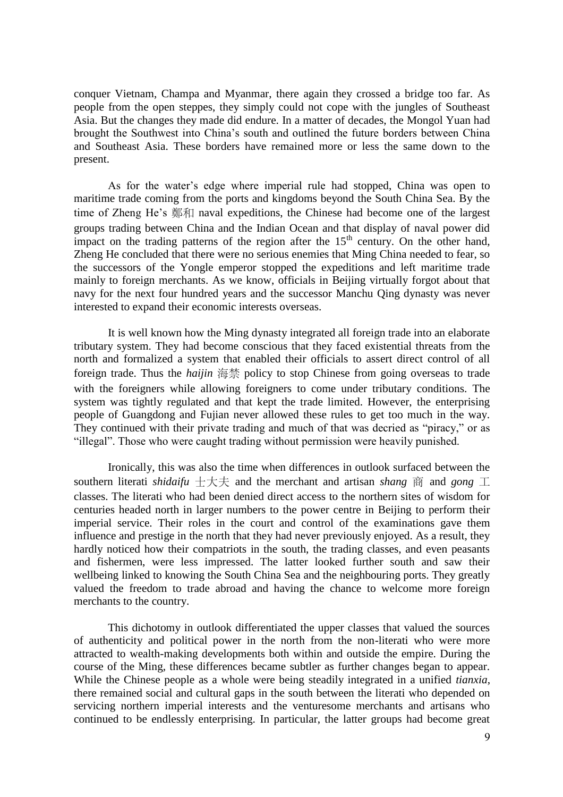conquer Vietnam, Champa and Myanmar, there again they crossed a bridge too far. As people from the open steppes, they simply could not cope with the jungles of Southeast Asia. But the changes they made did endure. In a matter of decades, the Mongol Yuan had brought the Southwest into China's south and outlined the future borders between China and Southeast Asia. These borders have remained more or less the same down to the present.

As for the water's edge where imperial rule had stopped, China was open to maritime trade coming from the ports and kingdoms beyond the South China Sea. By the time of Zheng He's 鄭和 naval expeditions, the Chinese had become one of the largest groups trading between China and the Indian Ocean and that display of naval power did impact on the trading patterns of the region after the  $15<sup>th</sup>$  century. On the other hand, Zheng He concluded that there were no serious enemies that Ming China needed to fear, so the successors of the Yongle emperor stopped the expeditions and left maritime trade mainly to foreign merchants. As we know, officials in Beijing virtually forgot about that navy for the next four hundred years and the successor Manchu Qing dynasty was never interested to expand their economic interests overseas.

It is well known how the Ming dynasty integrated all foreign trade into an elaborate tributary system. They had become conscious that they faced existential threats from the north and formalized a system that enabled their officials to assert direct control of all foreign trade. Thus the *haijin* 海禁 policy to stop Chinese from going overseas to trade with the foreigners while allowing foreigners to come under tributary conditions. The system was tightly regulated and that kept the trade limited. However, the enterprising people of Guangdong and Fujian never allowed these rules to get too much in the way. They continued with their private trading and much of that was decried as "piracy," or as "illegal". Those who were caught trading without permission were heavily punished.

Ironically, this was also the time when differences in outlook surfaced between the southern literati *shidaifu* 士大夫 and the merchant and artisan *shang* 商 and *gong* 工 classes. The literati who had been denied direct access to the northern sites of wisdom for centuries headed north in larger numbers to the power centre in Beijing to perform their imperial service. Their roles in the court and control of the examinations gave them influence and prestige in the north that they had never previously enjoyed. As a result, they hardly noticed how their compatriots in the south, the trading classes, and even peasants and fishermen, were less impressed. The latter looked further south and saw their wellbeing linked to knowing the South China Sea and the neighbouring ports. They greatly valued the freedom to trade abroad and having the chance to welcome more foreign merchants to the country.

This dichotomy in outlook differentiated the upper classes that valued the sources of authenticity and political power in the north from the non-literati who were more attracted to wealth-making developments both within and outside the empire. During the course of the Ming, these differences became subtler as further changes began to appear. While the Chinese people as a whole were being steadily integrated in a unified *tianxia*, there remained social and cultural gaps in the south between the literati who depended on servicing northern imperial interests and the venturesome merchants and artisans who continued to be endlessly enterprising. In particular, the latter groups had become great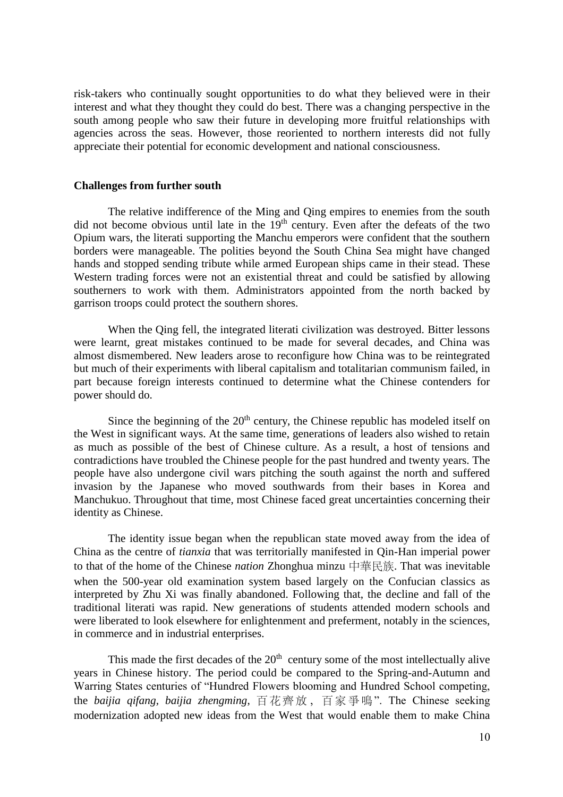risk-takers who continually sought opportunities to do what they believed were in their interest and what they thought they could do best. There was a changing perspective in the south among people who saw their future in developing more fruitful relationships with agencies across the seas. However, those reoriented to northern interests did not fully appreciate their potential for economic development and national consciousness.

#### **Challenges from further south**

The relative indifference of the Ming and Qing empires to enemies from the south did not become obvious until late in the  $19<sup>th</sup>$  century. Even after the defeats of the two Opium wars, the literati supporting the Manchu emperors were confident that the southern borders were manageable. The polities beyond the South China Sea might have changed hands and stopped sending tribute while armed European ships came in their stead. These Western trading forces were not an existential threat and could be satisfied by allowing southerners to work with them. Administrators appointed from the north backed by garrison troops could protect the southern shores.

When the Qing fell, the integrated literati civilization was destroyed. Bitter lessons were learnt, great mistakes continued to be made for several decades, and China was almost dismembered. New leaders arose to reconfigure how China was to be reintegrated but much of their experiments with liberal capitalism and totalitarian communism failed, in part because foreign interests continued to determine what the Chinese contenders for power should do.

Since the beginning of the  $20<sup>th</sup>$  century, the Chinese republic has modeled itself on the West in significant ways. At the same time, generations of leaders also wished to retain as much as possible of the best of Chinese culture. As a result, a host of tensions and contradictions have troubled the Chinese people for the past hundred and twenty years. The people have also undergone civil wars pitching the south against the north and suffered invasion by the Japanese who moved southwards from their bases in Korea and Manchukuo. Throughout that time, most Chinese faced great uncertainties concerning their identity as Chinese.

The identity issue began when the republican state moved away from the idea of China as the centre of *tianxia* that was territorially manifested in Qin-Han imperial power to that of the home of the Chinese *nation* Zhonghua minzu 中華民族. That was inevitable when the 500-year old examination system based largely on the Confucian classics as interpreted by Zhu Xi was finally abandoned. Following that, the decline and fall of the traditional literati was rapid. New generations of students attended modern schools and were liberated to look elsewhere for enlightenment and preferment, notably in the sciences, in commerce and in industrial enterprises.

This made the first decades of the  $20<sup>th</sup>$  century some of the most intellectually alive years in Chinese history. The period could be compared to the Spring-and-Autumn and Warring States centuries of "Hundred Flowers blooming and Hundred School competing, the *baijia qifang, baijia zhengming*, 百花齊放,百家爭鳴". The Chinese seeking modernization adopted new ideas from the West that would enable them to make China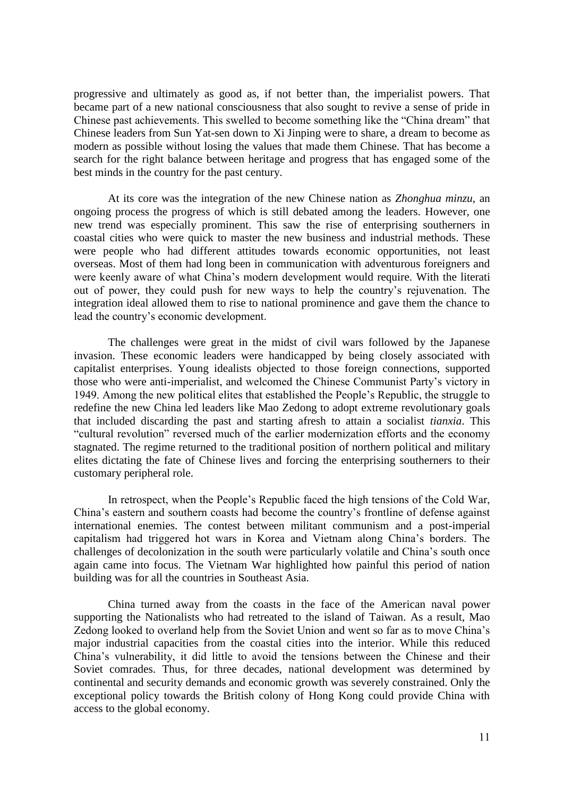progressive and ultimately as good as, if not better than, the imperialist powers. That became part of a new national consciousness that also sought to revive a sense of pride in Chinese past achievements. This swelled to become something like the "China dream" that Chinese leaders from Sun Yat-sen down to Xi Jinping were to share, a dream to become as modern as possible without losing the values that made them Chinese. That has become a search for the right balance between heritage and progress that has engaged some of the best minds in the country for the past century.

At its core was the integration of the new Chinese nation as *Zhonghua minzu*, an ongoing process the progress of which is still debated among the leaders. However, one new trend was especially prominent. This saw the rise of enterprising southerners in coastal cities who were quick to master the new business and industrial methods. These were people who had different attitudes towards economic opportunities, not least overseas. Most of them had long been in communication with adventurous foreigners and were keenly aware of what China's modern development would require. With the literati out of power, they could push for new ways to help the country's rejuvenation. The integration ideal allowed them to rise to national prominence and gave them the chance to lead the country's economic development.

The challenges were great in the midst of civil wars followed by the Japanese invasion. These economic leaders were handicapped by being closely associated with capitalist enterprises. Young idealists objected to those foreign connections, supported those who were anti-imperialist, and welcomed the Chinese Communist Party's victory in 1949. Among the new political elites that established the People's Republic, the struggle to redefine the new China led leaders like Mao Zedong to adopt extreme revolutionary goals that included discarding the past and starting afresh to attain a socialist *tianxia*. This "cultural revolution" reversed much of the earlier modernization efforts and the economy stagnated. The regime returned to the traditional position of northern political and military elites dictating the fate of Chinese lives and forcing the enterprising southerners to their customary peripheral role.

In retrospect, when the People's Republic faced the high tensions of the Cold War, China's eastern and southern coasts had become the country's frontline of defense against international enemies. The contest between militant communism and a post-imperial capitalism had triggered hot wars in Korea and Vietnam along China's borders. The challenges of decolonization in the south were particularly volatile and China's south once again came into focus. The Vietnam War highlighted how painful this period of nation building was for all the countries in Southeast Asia.

China turned away from the coasts in the face of the American naval power supporting the Nationalists who had retreated to the island of Taiwan. As a result, Mao Zedong looked to overland help from the Soviet Union and went so far as to move China's major industrial capacities from the coastal cities into the interior. While this reduced China's vulnerability, it did little to avoid the tensions between the Chinese and their Soviet comrades. Thus, for three decades, national development was determined by continental and security demands and economic growth was severely constrained. Only the exceptional policy towards the British colony of Hong Kong could provide China with access to the global economy.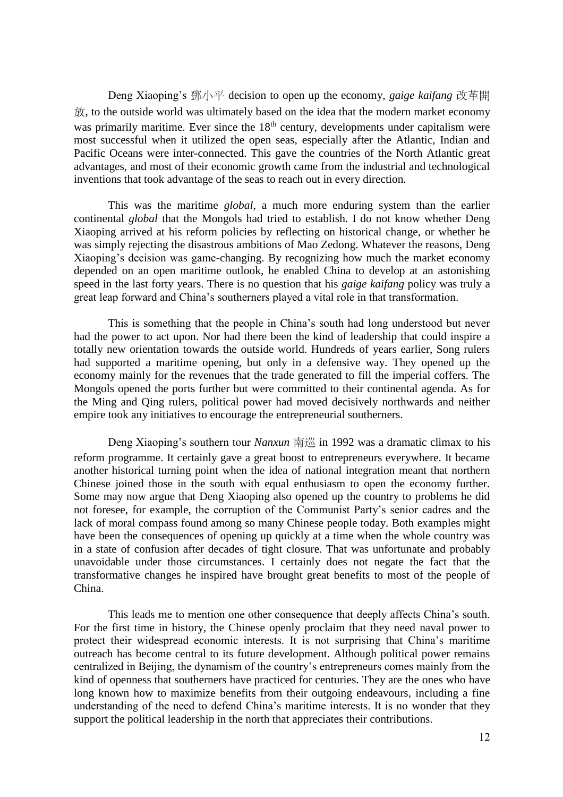Deng Xiaoping's 鄧小平 decision to open up the economy, *gaige kaifang* 改革開 放, to the outside world was ultimately based on the idea that the modern market economy was primarily maritime. Ever since the  $18<sup>th</sup>$  century, developments under capitalism were most successful when it utilized the open seas, especially after the Atlantic, Indian and Pacific Oceans were inter-connected. This gave the countries of the North Atlantic great advantages, and most of their economic growth came from the industrial and technological inventions that took advantage of the seas to reach out in every direction.

This was the maritime *global*, a much more enduring system than the earlier continental *global* that the Mongols had tried to establish. I do not know whether Deng Xiaoping arrived at his reform policies by reflecting on historical change, or whether he was simply rejecting the disastrous ambitions of Mao Zedong. Whatever the reasons, Deng Xiaoping's decision was game-changing. By recognizing how much the market economy depended on an open maritime outlook, he enabled China to develop at an astonishing speed in the last forty years. There is no question that his *gaige kaifang* policy was truly a great leap forward and China's southerners played a vital role in that transformation.

This is something that the people in China's south had long understood but never had the power to act upon. Nor had there been the kind of leadership that could inspire a totally new orientation towards the outside world. Hundreds of years earlier, Song rulers had supported a maritime opening, but only in a defensive way. They opened up the economy mainly for the revenues that the trade generated to fill the imperial coffers. The Mongols opened the ports further but were committed to their continental agenda. As for the Ming and Qing rulers, political power had moved decisively northwards and neither empire took any initiatives to encourage the entrepreneurial southerners.

Deng Xiaoping's southern tour *Nanxun* 南巡 in 1992 was a dramatic climax to his reform programme. It certainly gave a great boost to entrepreneurs everywhere. It became another historical turning point when the idea of national integration meant that northern Chinese joined those in the south with equal enthusiasm to open the economy further. Some may now argue that Deng Xiaoping also opened up the country to problems he did not foresee, for example, the corruption of the Communist Party's senior cadres and the lack of moral compass found among so many Chinese people today. Both examples might have been the consequences of opening up quickly at a time when the whole country was in a state of confusion after decades of tight closure. That was unfortunate and probably unavoidable under those circumstances. I certainly does not negate the fact that the transformative changes he inspired have brought great benefits to most of the people of China.

This leads me to mention one other consequence that deeply affects China's south. For the first time in history, the Chinese openly proclaim that they need naval power to protect their widespread economic interests. It is not surprising that China's maritime outreach has become central to its future development. Although political power remains centralized in Beijing, the dynamism of the country's entrepreneurs comes mainly from the kind of openness that southerners have practiced for centuries. They are the ones who have long known how to maximize benefits from their outgoing endeavours, including a fine understanding of the need to defend China's maritime interests. It is no wonder that they support the political leadership in the north that appreciates their contributions.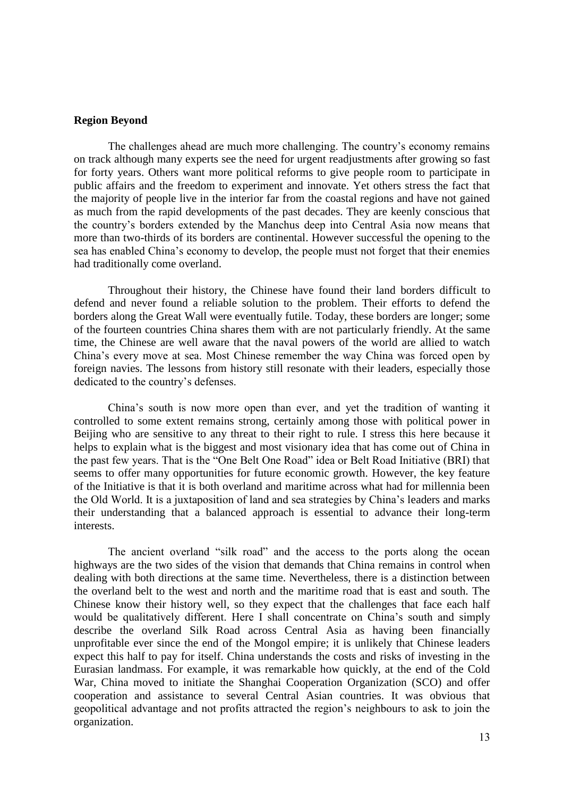## **Region Beyond**

The challenges ahead are much more challenging. The country's economy remains on track although many experts see the need for urgent readjustments after growing so fast for forty years. Others want more political reforms to give people room to participate in public affairs and the freedom to experiment and innovate. Yet others stress the fact that the majority of people live in the interior far from the coastal regions and have not gained as much from the rapid developments of the past decades. They are keenly conscious that the country's borders extended by the Manchus deep into Central Asia now means that more than two-thirds of its borders are continental. However successful the opening to the sea has enabled China's economy to develop, the people must not forget that their enemies had traditionally come overland.

Throughout their history, the Chinese have found their land borders difficult to defend and never found a reliable solution to the problem. Their efforts to defend the borders along the Great Wall were eventually futile. Today, these borders are longer; some of the fourteen countries China shares them with are not particularly friendly. At the same time, the Chinese are well aware that the naval powers of the world are allied to watch China's every move at sea. Most Chinese remember the way China was forced open by foreign navies. The lessons from history still resonate with their leaders, especially those dedicated to the country's defenses.

China's south is now more open than ever, and yet the tradition of wanting it controlled to some extent remains strong, certainly among those with political power in Beijing who are sensitive to any threat to their right to rule. I stress this here because it helps to explain what is the biggest and most visionary idea that has come out of China in the past few years. That is the "One Belt One Road" idea or Belt Road Initiative (BRI) that seems to offer many opportunities for future economic growth. However, the key feature of the Initiative is that it is both overland and maritime across what had for millennia been the Old World. It is a juxtaposition of land and sea strategies by China's leaders and marks their understanding that a balanced approach is essential to advance their long-term interests.

The ancient overland "silk road" and the access to the ports along the ocean highways are the two sides of the vision that demands that China remains in control when dealing with both directions at the same time. Nevertheless, there is a distinction between the overland belt to the west and north and the maritime road that is east and south. The Chinese know their history well, so they expect that the challenges that face each half would be qualitatively different. Here I shall concentrate on China's south and simply describe the overland Silk Road across Central Asia as having been financially unprofitable ever since the end of the Mongol empire; it is unlikely that Chinese leaders expect this half to pay for itself. China understands the costs and risks of investing in the Eurasian landmass. For example, it was remarkable how quickly, at the end of the Cold War, China moved to initiate the Shanghai Cooperation Organization (SCO) and offer cooperation and assistance to several Central Asian countries. It was obvious that geopolitical advantage and not profits attracted the region's neighbours to ask to join the organization.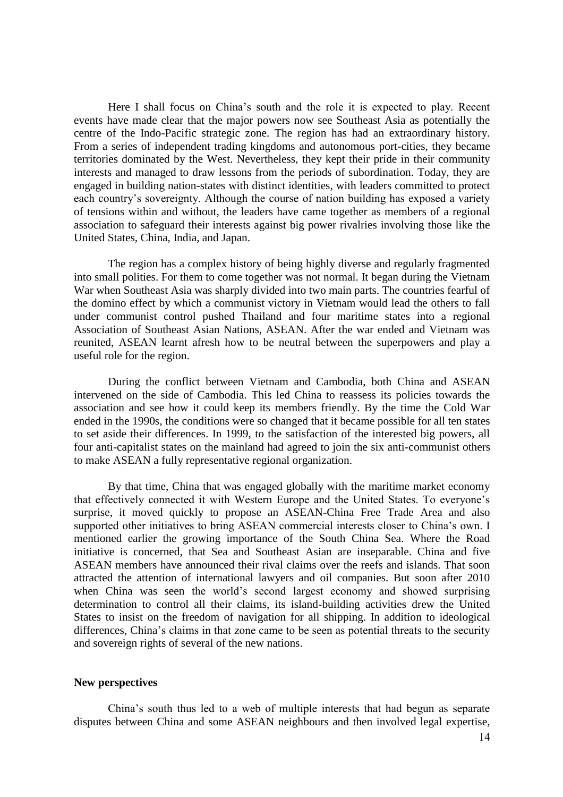Here I shall focus on China's south and the role it is expected to play. Recent events have made clear that the major powers now see Southeast Asia as potentially the centre of the Indo-Pacific strategic zone. The region has had an extraordinary history. From a series of independent trading kingdoms and autonomous port-cities, they became territories dominated by the West. Nevertheless, they kept their pride in their community interests and managed to draw lessons from the periods of subordination. Today, they are engaged in building nation-states with distinct identities, with leaders committed to protect each country's sovereignty. Although the course of nation building has exposed a variety of tensions within and without, the leaders have came together as members of a regional association to safeguard their interests against big power rivalries involving those like the United States, China, India, and Japan.

The region has a complex history of being highly diverse and regularly fragmented into small polities. For them to come together was not normal. It began during the Vietnam War when Southeast Asia was sharply divided into two main parts. The countries fearful of the domino effect by which a communist victory in Vietnam would lead the others to fall under communist control pushed Thailand and four maritime states into a regional Association of Southeast Asian Nations, ASEAN. After the war ended and Vietnam was reunited, ASEAN learnt afresh how to be neutral between the superpowers and play a useful role for the region.

During the conflict between Vietnam and Cambodia, both China and ASEAN intervened on the side of Cambodia. This led China to reassess its policies towards the association and see how it could keep its members friendly. By the time the Cold War ended in the 1990s, the conditions were so changed that it became possible for all ten states to set aside their differences. In 1999, to the satisfaction of the interested big powers, all four anti-capitalist states on the mainland had agreed to join the six anti-communist others to make ASEAN a fully representative regional organization.

By that time, China that was engaged globally with the maritime market economy that effectively connected it with Western Europe and the United States. To everyone's surprise, it moved quickly to propose an ASEAN-China Free Trade Area and also supported other initiatives to bring ASEAN commercial interests closer to China's own. I mentioned earlier the growing importance of the South China Sea. Where the Road initiative is concerned, that Sea and Southeast Asian are inseparable. China and five ASEAN members have announced their rival claims over the reefs and islands. That soon attracted the attention of international lawyers and oil companies. But soon after 2010 when China was seen the world's second largest economy and showed surprising determination to control all their claims, its island-building activities drew the United States to insist on the freedom of navigation for all shipping. In addition to ideological differences, China's claims in that zone came to be seen as potential threats to the security and sovereign rights of several of the new nations.

#### **New perspectives**

China's south thus led to a web of multiple interests that had begun as separate disputes between China and some ASEAN neighbours and then involved legal expertise,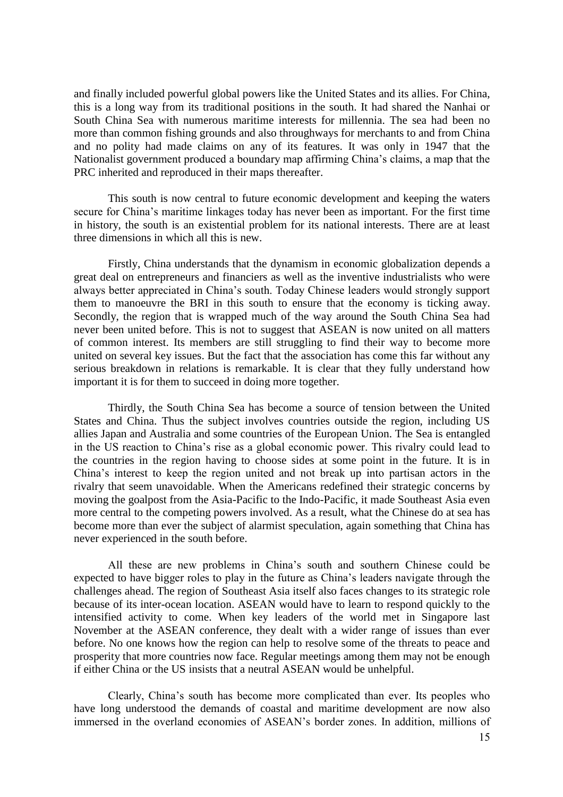and finally included powerful global powers like the United States and its allies. For China, this is a long way from its traditional positions in the south. It had shared the Nanhai or South China Sea with numerous maritime interests for millennia. The sea had been no more than common fishing grounds and also throughways for merchants to and from China and no polity had made claims on any of its features. It was only in 1947 that the Nationalist government produced a boundary map affirming China's claims, a map that the PRC inherited and reproduced in their maps thereafter.

This south is now central to future economic development and keeping the waters secure for China's maritime linkages today has never been as important. For the first time in history, the south is an existential problem for its national interests. There are at least three dimensions in which all this is new.

Firstly, China understands that the dynamism in economic globalization depends a great deal on entrepreneurs and financiers as well as the inventive industrialists who were always better appreciated in China's south. Today Chinese leaders would strongly support them to manoeuvre the BRI in this south to ensure that the economy is ticking away. Secondly, the region that is wrapped much of the way around the South China Sea had never been united before. This is not to suggest that ASEAN is now united on all matters of common interest. Its members are still struggling to find their way to become more united on several key issues. But the fact that the association has come this far without any serious breakdown in relations is remarkable. It is clear that they fully understand how important it is for them to succeed in doing more together.

Thirdly, the South China Sea has become a source of tension between the United States and China. Thus the subject involves countries outside the region, including US allies Japan and Australia and some countries of the European Union. The Sea is entangled in the US reaction to China's rise as a global economic power. This rivalry could lead to the countries in the region having to choose sides at some point in the future. It is in China's interest to keep the region united and not break up into partisan actors in the rivalry that seem unavoidable. When the Americans redefined their strategic concerns by moving the goalpost from the Asia-Pacific to the Indo-Pacific, it made Southeast Asia even more central to the competing powers involved. As a result, what the Chinese do at sea has become more than ever the subject of alarmist speculation, again something that China has never experienced in the south before.

All these are new problems in China's south and southern Chinese could be expected to have bigger roles to play in the future as China's leaders navigate through the challenges ahead. The region of Southeast Asia itself also faces changes to its strategic role because of its inter-ocean location. ASEAN would have to learn to respond quickly to the intensified activity to come. When key leaders of the world met in Singapore last November at the ASEAN conference, they dealt with a wider range of issues than ever before. No one knows how the region can help to resolve some of the threats to peace and prosperity that more countries now face. Regular meetings among them may not be enough if either China or the US insists that a neutral ASEAN would be unhelpful.

Clearly, China's south has become more complicated than ever. Its peoples who have long understood the demands of coastal and maritime development are now also immersed in the overland economies of ASEAN's border zones. In addition, millions of